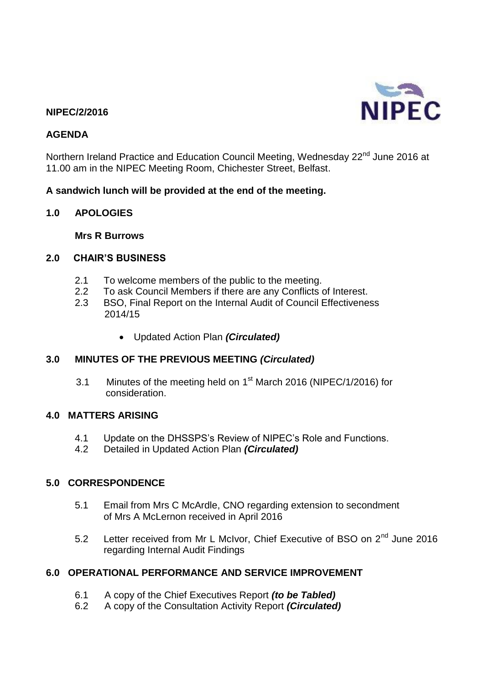## **NIPEC/2/2016**

### **AGENDA**

Northern Ireland Practice and Education Council Meeting, Wednesday 22<sup>nd</sup> June 2016 at 11.00 am in the NIPEC Meeting Room, Chichester Street, Belfast.

### **A sandwich lunch will be provided at the end of the meeting.**

### **1.0 APOLOGIES**

**Mrs R Burrows**

#### **2.0 CHAIR'S BUSINESS**

- 2.1 To welcome members of the public to the meeting.
- 2.2 To ask Council Members if there are any Conflicts of Interest.
- 2.3 BSO, Final Report on the Internal Audit of Council Effectiveness 2014/15
	- Updated Action Plan *(Circulated)*

### **3.0 MINUTES OF THE PREVIOUS MEETING** *(Circulated)*

3.1 Minutes of the meeting held on 1<sup>st</sup> March 2016 (NIPEC/1/2016) for consideration.

## **4.0 MATTERS ARISING**

- 4.1 Update on the DHSSPS's Review of NIPEC's Role and Functions.<br>4.2 Detailed in Updated Action Plan (Circulated)
- 4.2 Detailed in Updated Action Plan *(Circulated)*

### **5.0 CORRESPONDENCE**

- 5.1 Email from Mrs C McArdle, CNO regarding extension to secondment of Mrs A McLernon received in April 2016
- 5.2 Letter received from Mr L McIvor, Chief Executive of BSO on 2<sup>nd</sup> June 2016 regarding Internal Audit Findings

### **6.0 OPERATIONAL PERFORMANCE AND SERVICE IMPROVEMENT**

- 6.1 A copy of the Chief Executives Report *(to be Tabled)*
- 6.2 A copy of the Consultation Activity Report *(Circulated)*

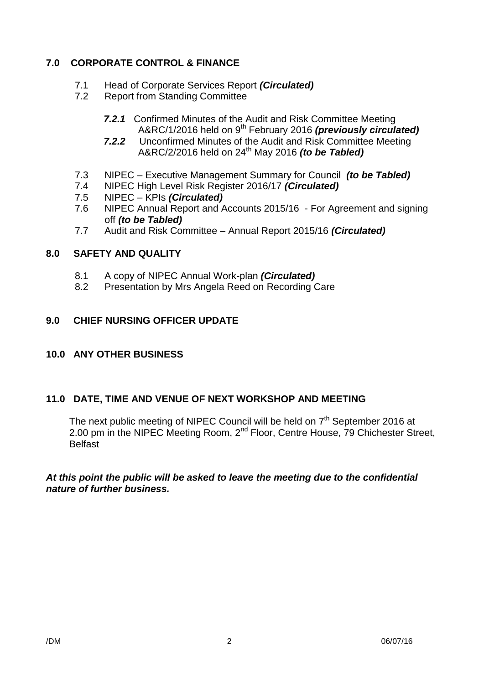# **7.0 CORPORATE CONTROL & FINANCE**

- 7.1 Head of Corporate Services Report *(Circulated)*
- 7.2 Report from Standing Committee
	- *7.2.1* Confirmed Minutes of the Audit and Risk Committee Meeting A&RC/1/2016 held on 9<sup>th</sup> February 2016 *(previously circulated)*
	- *7.2.2* Unconfirmed Minutes of the Audit and Risk Committee Meeting A&RC/2/2016 held on 24th May 2016 *(to be Tabled)*
- 7.3 NIPEC Executive Management Summary for Council *(to be Tabled)*
- 7.4 NIPEC High Level Risk Register 2016/17 *(Circulated)*
- 7.5 NIPEC KPIs *(Circulated)*
- 7.6 NIPEC Annual Report and Accounts 2015/16 For Agreement and signing off *(to be Tabled)*
- 7.7 Audit and Risk Committee Annual Report 2015/16 *(Circulated)*

## **8.0 SAFETY AND QUALITY**

- 8.1 A copy of NIPEC Annual Work-plan *(Circulated)*
- 8.2 Presentation by Mrs Angela Reed on Recording Care

## **9.0 CHIEF NURSING OFFICER UPDATE**

### **10.0 ANY OTHER BUSINESS**

### **11.0 DATE, TIME AND VENUE OF NEXT WORKSHOP AND MEETING**

The next public meeting of NIPEC Council will be held on 7<sup>th</sup> September 2016 at 2.00 pm in the NIPEC Meeting Room, 2<sup>nd</sup> Floor, Centre House, 79 Chichester Street, **Belfast** 

*At this point the public will be asked to leave the meeting due to the confidential nature of further business.*